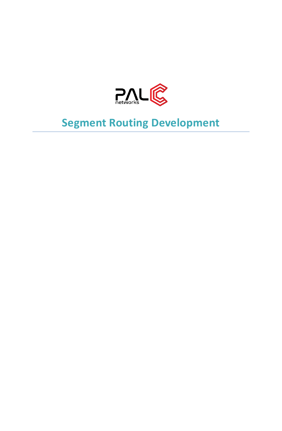

# **Segment Routing Development**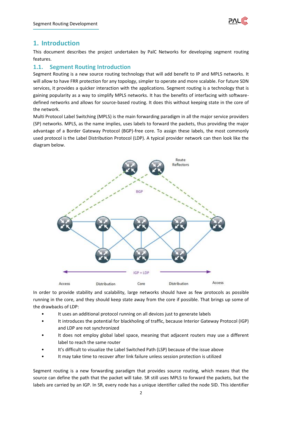

## **1. Introduction**

This document describes the project undertaken by PalC Networks for developing segment routing features.

### **1.1. Segment Routing Introduction**

Segment Routing is a new source routing technology that will add benefit to IP and MPLS networks. It will allow to have FRR protection for any topology, simpler to operate and more scalable. For future SDN services, it provides a quicker interaction with the applications. Segment routing is a technology that is gaining popularity as a way to simplify MPLS networks. It has the benefits of interfacing with softwaredefined networks and allows for source-based routing. It does this without keeping state in the core of the network.

Multi Protocol Label Switching (MPLS) is the main forwarding paradigm in all the major service providers (SP) networks. MPLS, as the name implies, uses labels to forward the packets, thus providing the major advantage of a Border Gateway Protocol (BGP)-free core. To assign these labels, the most commonly used protocol is the Label Distribution Protocol (LDP). A typical provider network can then look like the diagram below.



In order to provide stability and scalability, large networks should have as few protocols as possible running in the core, and they should keep state away from the core if possible. That brings up some of the drawbacks of LDP:

- It uses an additional protocol running on all devices just to generate labels
- It introduces the potential for blackholing of traffic, because Interior Gateway Protocol (IGP) and LDP are not synchronized
- It does not employ global label space, meaning that adjacent routers may use a different label to reach the same router
- It's difficult to visualize the Label Switched Path (LSP) because of the issue above
- It may take time to recover after link failure unless session protection is utilized

Segment routing is a new forwarding paradigm that provides source routing, which means that the source can define the path that the packet will take. SR still uses MPLS to forward the packets, but the labels are carried by an IGP. In SR, every node has a unique identifier called the node SID. This identifier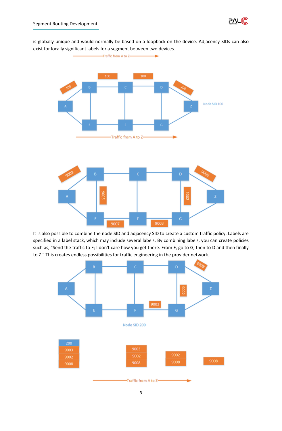

is globally unique and would normally be based on a loopback on the device. Adjacency SIDs can also exist for locally significant labels for a segment between two devices.



It is also possible to combine the node SID and adjacency SID to create a custom traffic policy. Labels are specified in a label stack, which may include several labels. By combining labels, you can create policies such as, "Send the traffic to F; I don't care how you get there. From F, go to G, then to D and then finally to Z." This creates endless possibilities for traffic engineering in the provider network.

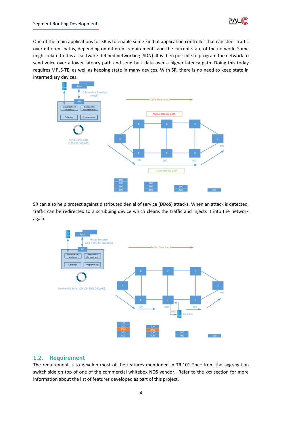

One of the main applications for SR is to enable some kind of application controller that can steer traffic over different paths, depending on different requirements and the current state of the network. Some might relate to this as software-defined networking (SDN). It is then possible to program the network to send voice over a lower latency path and send bulk data over a higher latency path. Doing this today requires [MPLS-TE,](http://www.networkcomputing.com/networking/mpls-traffic-engineering-guide-success-and-alternatives/d/d-id/1269268) as well as keeping state in many devices. With SR, there is no need to keep state in intermediary devices.



SR can also help protect against distributed denial of service (DDoS) attacks. When an attack is detected, traffic can be redirected to a scrubbing device which cleans the traffic and injects it into the network again.



# **1.2. Requirement**

The requirement is to develop most of the features mentioned in TR.101 Spec from the aggregation switch side on top of one of the commercial whitebox NOS vendor. Refer to the xxx section for more information about the list of features developed as part of this project.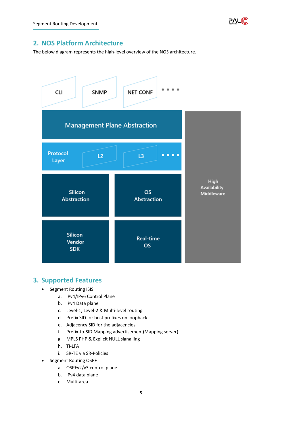

# **2. NOS Platform Architecture**

The below diagram represents the high-level overview of the NOS architecture.



# **3. Supported Features**

- Segment Routing ISIS
	- a. IPv4/IPv6 Control Plane
	- b. IPv4 Data plane
	- c. Level-1, Level-2 & Multi-level routing
	- d. Prefix SID for host prefixes on loopback
	- e. Adjacency SID for the adjacencies
	- f. Prefix-to-SID Mapping advertisement(Mapping server)
	- g. MPLS PHP & Explicit NULL signalling
	- h. TI-LFA
	- i. SR-TE via SR-Policies
- Segment Routing OSPF
	- a. OSPFv2/v3 control plane
	- b. IPv4 data plane
	- c. Multi-area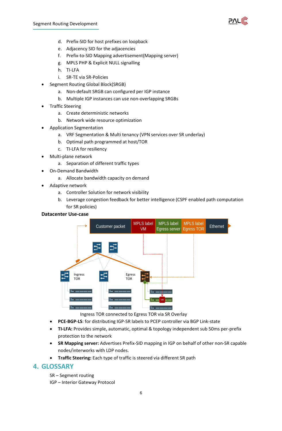

- d. Prefix-SID for host prefixes on loopback
- e. Adjacency SID for the adjacencies
- f. Prefix-to-SID Mapping advertisement(Mapping server)
- g. MPLS PHP & Explicit NULL signalling
- h. TI-LFA
- i. SR-TE via SR-Policies
- Segment Routing Global Block(SRGB)
	- a. Non-default SRGB can configured per IGP instance
	- b. Multiple IGP instances can use non-overlapping SRGBs
- Traffic Steering
	- a. Create deterministic networks
	- b. Network wide resource optimization
- Application Segmentation
	- a. VRF Segmentation & Multi tenancy (VPN services over SR underlay)
	- b. Optimal path programmed at host/TOR
	- c. TI-LFA for resiliency
- Multi-plane network
	- a. Separation of different traffic types
- On-Demand Bandwidth
	- a. Allocate bandwidth capacity on demand
- Adaptive network
	- a. Controller Solution for network visibility
	- b. Leverage congestion feedback for better intelligence (CSPF enabled path computation for SR policies)

#### **Datacenter Use-case**



Ingress TOR connected to Egress TOR via SR Overlay

- **PCE-BGP-LS**: for distributing IGP-SR labels to PCEP controller via BGP Link-state
- **TI-LFA:** Provides simple, automatic, optimal & topology independent sub 50ms per-prefix protection to the network
- **SR Mapping server:** Advertises Prefix-SID mapping in IGP on behalf of other non-SR capable nodes/interworks with LDP nodes.
- **Traffic Steering:** Each type of traffic is steered via different SR path

#### **4. GLOSSARY**

SR – Segment routing

IGP – Interior Gateway Protocol